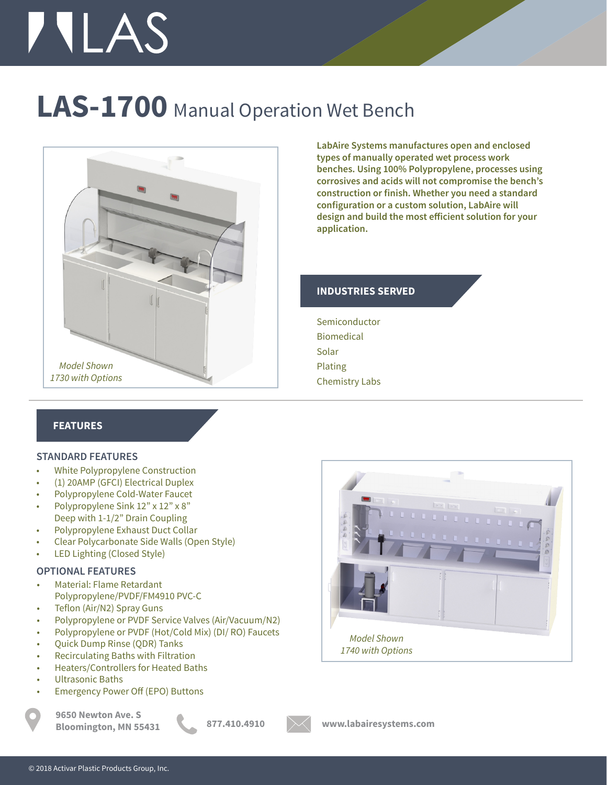# **TILAS**

### **LAS-1700** Manual Operation Wet Bench



**LabAire Systems manufactures open and enclosed types of manually operated wet process work benches. Using 100% Polypropylene, processes using corrosives and acids will not compromise the bench's construction or finish. Whether you need a standard configuration or a custom solution, LabAire will design and build the most efficient solution for your application.**

#### **INDUSTRIES SERVED**

Semiconductor Biomedical Solar Plating Chemistry Labs

#### **FEATURES**

#### **STANDARD FEATURES**

- White Polypropylene Construction
- (1) 20AMP (GFCI) Electrical Duplex
- Polypropylene Cold-Water Faucet
- Polypropylene Sink 12" x 12" x 8" Deep with 1-1/2" Drain Coupling
- Polypropylene Exhaust Duct Collar
- Clear Polycarbonate Side Walls (Open Style)
- LED Lighting (Closed Style)

#### **OPTIONAL FEATURES**

- Material: Flame Retardant Polypropylene/PVDF/FM4910 PVC-C
- Teflon (Air/N2) Spray Guns
- Polypropylene or PVDF Service Valves (Air/Vacuum/N2)
- Polypropylene or PVDF (Hot/Cold Mix) (DI/ RO) Faucets
- Quick Dump Rinse (QDR) Tanks
- Recirculating Baths with Filtration
- Heaters/Controllers for Heated Baths
- Ultrasonic Baths
- Emergency Power Off (EPO) Buttons

**9650 Newton Ave. S Bloomington, MN 55431 877.410.4910 www.labairesystems.com**